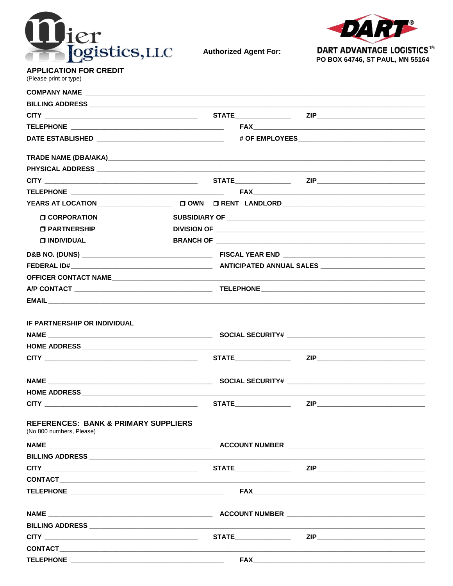

**Authorized Agent For:** 



**APPLICATION FOR CREDIT** (Please print or type)

| <b>O CORPORATION</b>                                                        |  |  |
|-----------------------------------------------------------------------------|--|--|
| <b>O PARTNERSHIP</b>                                                        |  |  |
| <b>O INDIVIDUAL</b>                                                         |  |  |
|                                                                             |  |  |
|                                                                             |  |  |
|                                                                             |  |  |
|                                                                             |  |  |
|                                                                             |  |  |
| <b>IF PARTNERSHIP OR INDIVIDUAL</b>                                         |  |  |
|                                                                             |  |  |
|                                                                             |  |  |
|                                                                             |  |  |
|                                                                             |  |  |
|                                                                             |  |  |
|                                                                             |  |  |
| <b>REFERENCES: BANK &amp; PRIMARY SUPPLIERS</b><br>(No 800 numbers, Please) |  |  |
|                                                                             |  |  |
|                                                                             |  |  |
|                                                                             |  |  |
|                                                                             |  |  |
|                                                                             |  |  |
|                                                                             |  |  |
|                                                                             |  |  |
|                                                                             |  |  |
|                                                                             |  |  |
|                                                                             |  |  |
|                                                                             |  |  |